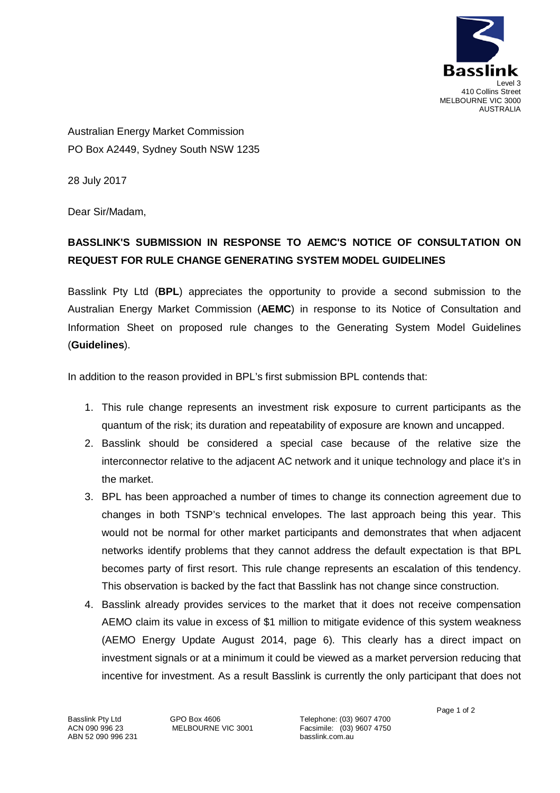

Australian Energy Market Commission PO Box A2449, Sydney South NSW 1235

28 July 2017

Dear Sir/Madam,

## **BASSLINK'S SUBMISSION IN RESPONSE TO AEMC'S NOTICE OF CONSULTATION ON REQUEST FOR RULE CHANGE GENERATING SYSTEM MODEL GUIDELINES**

Basslink Pty Ltd (**BPL**) appreciates the opportunity to provide a second submission to the Australian Energy Market Commission (**AEMC**) in response to its Notice of Consultation and Information Sheet on proposed rule changes to the Generating System Model Guidelines (**Guidelines**).

In addition to the reason provided in BPL's first submission BPL contends that:

- 1. This rule change represents an investment risk exposure to current participants as the quantum of the risk; its duration and repeatability of exposure are known and uncapped.
- 2. Basslink should be considered a special case because of the relative size the interconnector relative to the adjacent AC network and it unique technology and place it's in the market.
- 3. BPL has been approached a number of times to change its connection agreement due to changes in both TSNP's technical envelopes. The last approach being this year. This would not be normal for other market participants and demonstrates that when adjacent networks identify problems that they cannot address the default expectation is that BPL becomes party of first resort. This rule change represents an escalation of this tendency. This observation is backed by the fact that Basslink has not change since construction.
- 4. Basslink already provides services to the market that it does not receive compensation AEMO claim its value in excess of \$1 million to mitigate evidence of this system weakness (AEMO Energy Update August 2014, page 6). This clearly has a direct impact on investment signals or at a minimum it could be viewed as a market perversion reducing that incentive for investment. As a result Basslink is currently the only participant that does not

Basslink Pty Ltd ACN 090 996 23 ABN 52 090 996 231 GPO Box 4606 MELBOURNE VIC 3001

Telephone: (03) 9607 4700 Facsimile: (03) 9607 4750 basslink.com.au

Page 1 of 2